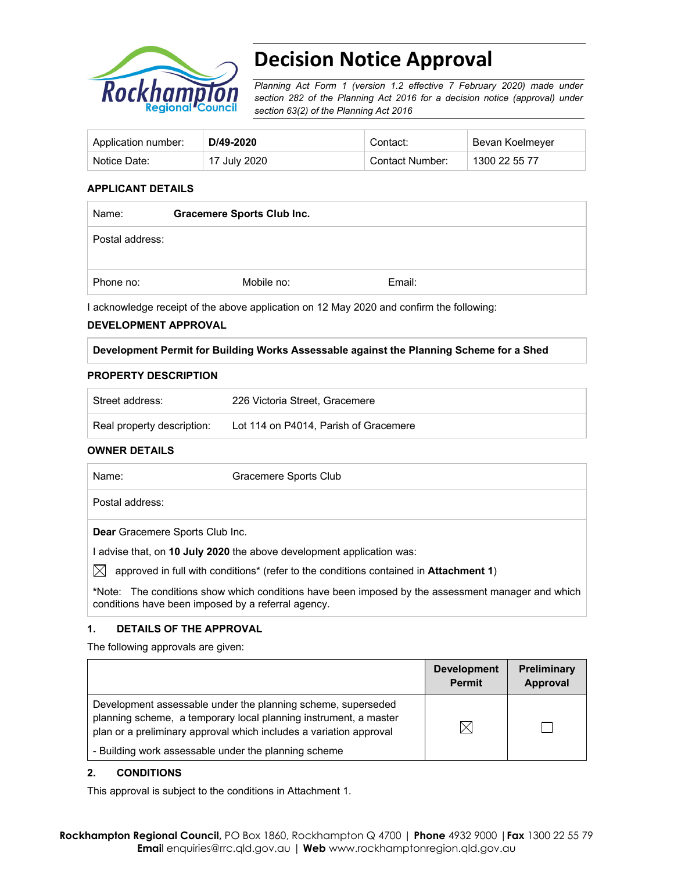

# **Decision Notice Approval**

*Planning Act Form 1 (version 1.2 effective 7 February 2020) made under section 282 of the Planning Act 2016 for a decision notice (approval) under section 63(2) of the Planning Act 2016*

| Application number: | D/49-2020    | Contact:        | Bevan Koelmeyer |
|---------------------|--------------|-----------------|-----------------|
| Notice Date:        | 17 July 2020 | Contact Number: | 1300 22 55 77   |

## **APPLICANT DETAILS**

| Name:           | <b>Gracemere Sports Club Inc.</b> |        |  |
|-----------------|-----------------------------------|--------|--|
| Postal address: |                                   |        |  |
| Phone no:       | Mobile no:                        | Email: |  |

I acknowledge receipt of the above application on 12 May 2020 and confirm the following:

#### **DEVELOPMENT APPROVAL**

#### **Development Permit for Building Works Assessable against the Planning Scheme for a Shed**

#### **PROPERTY DESCRIPTION**

| Street address:            | 226 Victoria Street, Gracemere        |
|----------------------------|---------------------------------------|
| Real property description: | Lot 114 on P4014. Parish of Gracemere |

### **OWNER DETAILS**

| Name:                                                                 | Gracemere Sports Club                                                                                     |  |  |
|-----------------------------------------------------------------------|-----------------------------------------------------------------------------------------------------------|--|--|
|                                                                       | Postal address:                                                                                           |  |  |
|                                                                       | <b>Dear</b> Gracemere Sports Club Inc.                                                                    |  |  |
| I advise that, on 10 July 2020 the above development application was: |                                                                                                           |  |  |
| IХI                                                                   | approved in full with conditions <sup>*</sup> (refer to the conditions contained in <b>Attachment 1</b> ) |  |  |

**\***Note:The conditions show which conditions have been imposed by the assessment manager and which conditions have been imposed by a referral agency.

### **1. DETAILS OF THE APPROVAL**

The following approvals are given:

|                                                                                                                                                                                                        | <b>Development</b><br><b>Permit</b> | <b>Preliminary</b><br>Approval |
|--------------------------------------------------------------------------------------------------------------------------------------------------------------------------------------------------------|-------------------------------------|--------------------------------|
| Development assessable under the planning scheme, superseded<br>planning scheme, a temporary local planning instrument, a master<br>plan or a preliminary approval which includes a variation approval | ⋉                                   |                                |
| - Building work assessable under the planning scheme                                                                                                                                                   |                                     |                                |

#### **2. CONDITIONS**

This approval is subject to the conditions in Attachment 1.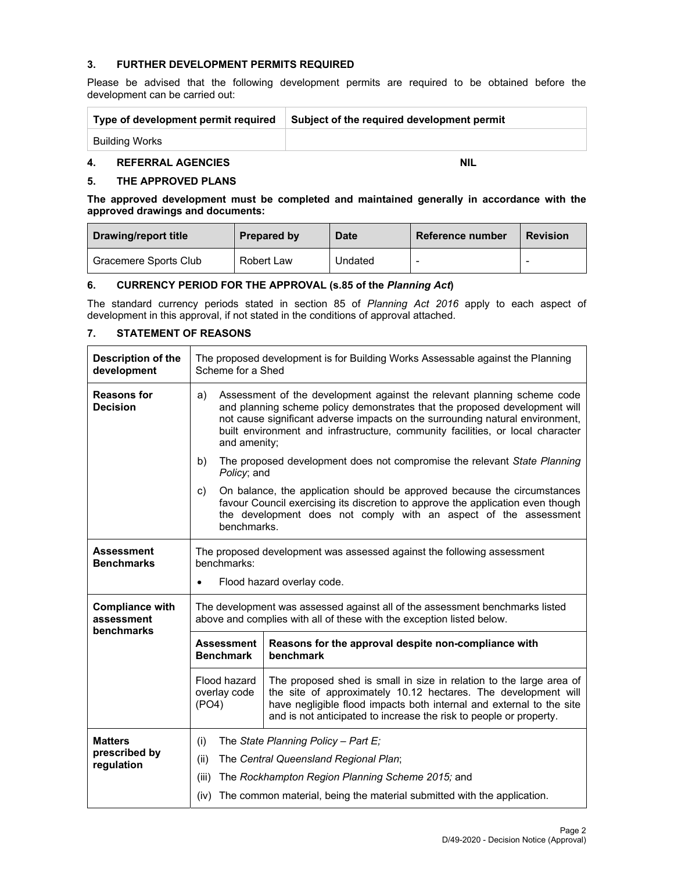#### **3. FURTHER DEVELOPMENT PERMITS REQUIRED**

Please be advised that the following development permits are required to be obtained before the development can be carried out:

| Type of development permit required | Subject of the required development permit |
|-------------------------------------|--------------------------------------------|
| Building Works                      |                                            |

## **4. REFERRAL AGENCIES NIL AND REFERRAL AGENCIES**

#### **5. THE APPROVED PLANS**

**The approved development must be completed and maintained generally in accordance with the approved drawings and documents:** 

| Drawing/report title  | Prepared by | <b>Date</b> | Reference number | <b>Revision</b> |
|-----------------------|-------------|-------------|------------------|-----------------|
| Gracemere Sports Club | Robert Law  | Undated     |                  |                 |

#### **6. CURRENCY PERIOD FOR THE APPROVAL (s.85 of the** *Planning Act***)**

The standard currency periods stated in section 85 of *Planning Act 2016* apply to each aspect of development in this approval, if not stated in the conditions of approval attached.

## **7. STATEMENT OF REASONS**

| Description of the<br>development                  | The proposed development is for Building Works Assessable against the Planning<br>Scheme for a Shed                                                                                                                                                                                                                                            |                                                                                                                                                                                                                                 |  |  |  |
|----------------------------------------------------|------------------------------------------------------------------------------------------------------------------------------------------------------------------------------------------------------------------------------------------------------------------------------------------------------------------------------------------------|---------------------------------------------------------------------------------------------------------------------------------------------------------------------------------------------------------------------------------|--|--|--|
| <b>Reasons for</b><br><b>Decision</b>              | Assessment of the development against the relevant planning scheme code<br>a)<br>and planning scheme policy demonstrates that the proposed development will<br>not cause significant adverse impacts on the surrounding natural environment,<br>built environment and infrastructure, community facilities, or local character<br>and amenity; |                                                                                                                                                                                                                                 |  |  |  |
|                                                    | b)<br>Policy; and                                                                                                                                                                                                                                                                                                                              | The proposed development does not compromise the relevant State Planning                                                                                                                                                        |  |  |  |
|                                                    | c)<br>benchmarks.                                                                                                                                                                                                                                                                                                                              | On balance, the application should be approved because the circumstances<br>favour Council exercising its discretion to approve the application even though<br>the development does not comply with an aspect of the assessment |  |  |  |
| <b>Assessment</b><br><b>Benchmarks</b>             | The proposed development was assessed against the following assessment<br>benchmarks:                                                                                                                                                                                                                                                          |                                                                                                                                                                                                                                 |  |  |  |
|                                                    | Flood hazard overlay code.<br>$\bullet$                                                                                                                                                                                                                                                                                                        |                                                                                                                                                                                                                                 |  |  |  |
| <b>Compliance with</b><br>assessment<br>benchmarks | The development was assessed against all of the assessment benchmarks listed<br>above and complies with all of these with the exception listed below.<br><b>Assessment</b><br>Reasons for the approval despite non-compliance with<br><b>Benchmark</b><br>benchmark                                                                            |                                                                                                                                                                                                                                 |  |  |  |
|                                                    |                                                                                                                                                                                                                                                                                                                                                |                                                                                                                                                                                                                                 |  |  |  |
|                                                    | Flood hazard<br>The proposed shed is small in size in relation to the large area of<br>overlay code<br>the site of approximately 10.12 hectares. The development will<br>have negligible flood impacts both internal and external to the site<br>(PO4)<br>and is not anticipated to increase the risk to people or property.                   |                                                                                                                                                                                                                                 |  |  |  |
| <b>Matters</b>                                     | The State Planning Policy - Part E;                                                                                                                                                                                                                                                                                                            |                                                                                                                                                                                                                                 |  |  |  |
| prescribed by<br>regulation                        | (ii)                                                                                                                                                                                                                                                                                                                                           | The Central Queensland Regional Plan;                                                                                                                                                                                           |  |  |  |
|                                                    | The Rockhampton Region Planning Scheme 2015; and<br>(iii)                                                                                                                                                                                                                                                                                      |                                                                                                                                                                                                                                 |  |  |  |
|                                                    | (iv)                                                                                                                                                                                                                                                                                                                                           | The common material, being the material submitted with the application.                                                                                                                                                         |  |  |  |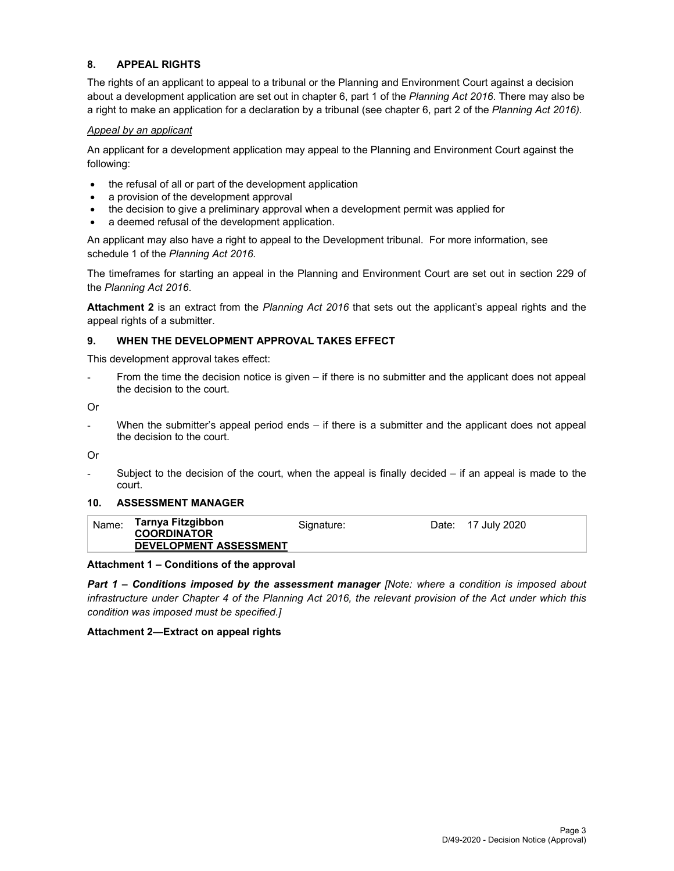## **8. APPEAL RIGHTS**

The rights of an applicant to appeal to a tribunal or the Planning and Environment Court against a decision about a development application are set out in chapter 6, part 1 of the *Planning Act 2016*. There may also be a right to make an application for a declaration by a tribunal (see chapter 6, part 2 of the *Planning Act 2016).*

#### *Appeal by an applicant*

An applicant for a development application may appeal to the Planning and Environment Court against the following:

- the refusal of all or part of the development application
- a provision of the development approval
- the decision to give a preliminary approval when a development permit was applied for
- a deemed refusal of the development application.

An applicant may also have a right to appeal to the Development tribunal. For more information, see schedule 1 of the *Planning Act 2016*.

The timeframes for starting an appeal in the Planning and Environment Court are set out in section 229 of the *Planning Act 2016*.

**Attachment 2** is an extract from the *Planning Act 2016* that sets out the applicant's appeal rights and the appeal rights of a submitter.

#### **9. WHEN THE DEVELOPMENT APPROVAL TAKES EFFECT**

This development approval takes effect:

From the time the decision notice is given – if there is no submitter and the applicant does not appeal the decision to the court.

Or

- When the submitter's appeal period ends – if there is a submitter and the applicant does not appeal the decision to the court.

Or

Subject to the decision of the court, when the appeal is finally decided  $-$  if an appeal is made to the court.

#### **10. ASSESSMENT MANAGER**

| Tarnya Fitzgibbon<br>Name:                          | Signature: | Date: 17 July 2020 |
|-----------------------------------------------------|------------|--------------------|
| <b>COORDINATOR</b><br><b>DEVELOPMENT ASSESSMENT</b> |            |                    |

#### **Attachment 1 – Conditions of the approval**

*Part 1* **–** *Conditions imposed by the assessment manager [Note: where a condition is imposed about infrastructure under Chapter 4 of the Planning Act 2016, the relevant provision of the Act under which this condition was imposed must be specified.]*

#### **Attachment 2—Extract on appeal rights**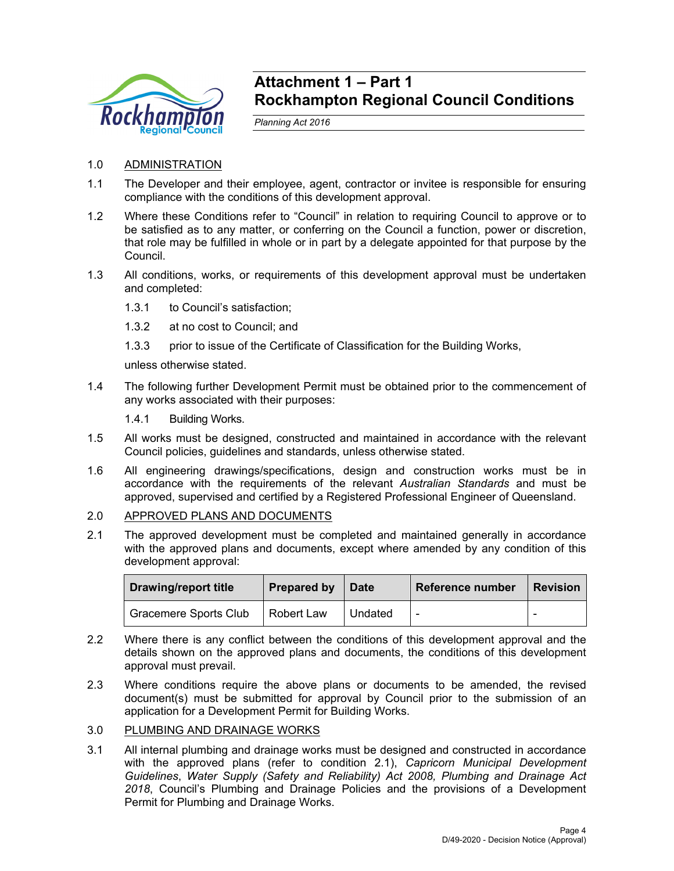

## **Attachment 1 – Part 1 Rockhampton Regional Council Conditions**

*Planning Act 2016* 

- 1.0 ADMINISTRATION
- 1.1 The Developer and their employee, agent, contractor or invitee is responsible for ensuring compliance with the conditions of this development approval.
- 1.2 Where these Conditions refer to "Council" in relation to requiring Council to approve or to be satisfied as to any matter, or conferring on the Council a function, power or discretion, that role may be fulfilled in whole or in part by a delegate appointed for that purpose by the Council.
- 1.3 All conditions, works, or requirements of this development approval must be undertaken and completed:
	- 1.3.1 to Council's satisfaction;
	- 1.3.2 at no cost to Council; and
	- 1.3.3 prior to issue of the Certificate of Classification for the Building Works,

unless otherwise stated.

- 1.4 The following further Development Permit must be obtained prior to the commencement of any works associated with their purposes:
	- 1.4.1 Building Works.
- 1.5 All works must be designed, constructed and maintained in accordance with the relevant Council policies, guidelines and standards, unless otherwise stated.
- 1.6 All engineering drawings/specifications, design and construction works must be in accordance with the requirements of the relevant *Australian Standards* and must be approved, supervised and certified by a Registered Professional Engineer of Queensland.

## 2.0 APPROVED PLANS AND DOCUMENTS

2.1 The approved development must be completed and maintained generally in accordance with the approved plans and documents, except where amended by any condition of this development approval:

| Drawing/report title         | <b>Prepared by</b> | <b>∣Date</b> | <b>Reference number</b>  | <b>Revision</b>          |
|------------------------------|--------------------|--------------|--------------------------|--------------------------|
| <b>Gracemere Sports Club</b> | Robert Law         | Undated      | $\overline{\phantom{0}}$ | $\overline{\phantom{0}}$ |

- 2.2 Where there is any conflict between the conditions of this development approval and the details shown on the approved plans and documents, the conditions of this development approval must prevail.
- 2.3 Where conditions require the above plans or documents to be amended, the revised document(s) must be submitted for approval by Council prior to the submission of an application for a Development Permit for Building Works.

## 3.0 PLUMBING AND DRAINAGE WORKS

3.1 All internal plumbing and drainage works must be designed and constructed in accordance with the approved plans (refer to condition 2.1), *Capricorn Municipal Development Guidelines*, *Water Supply (Safety and Reliability) Act 2008, Plumbing and Drainage Act 2018*, Council's Plumbing and Drainage Policies and the provisions of a Development Permit for Plumbing and Drainage Works.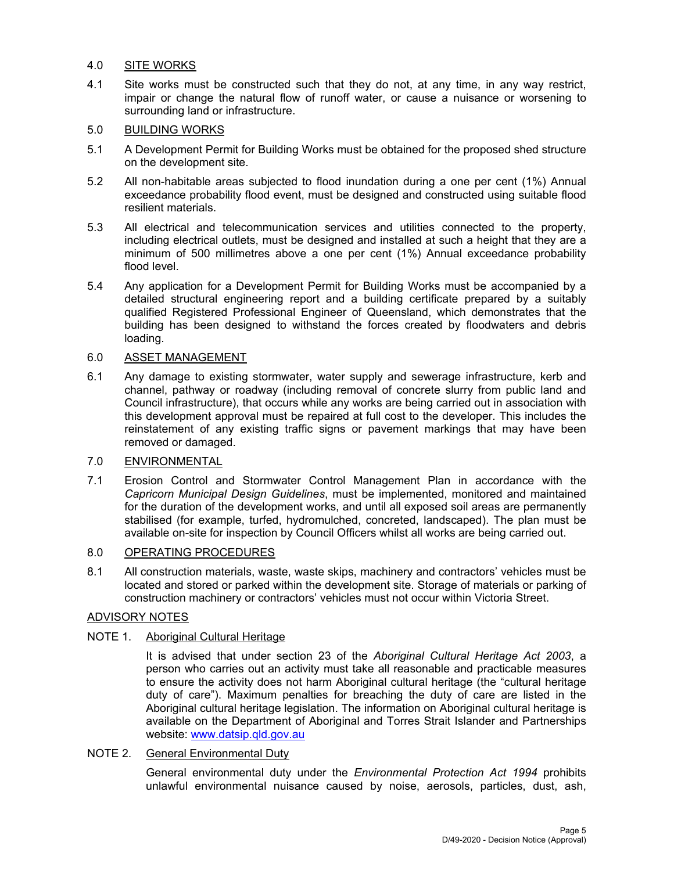## 4.0 SITE WORKS

4.1 Site works must be constructed such that they do not, at any time, in any way restrict, impair or change the natural flow of runoff water, or cause a nuisance or worsening to surrounding land or infrastructure.

## 5.0 BUILDING WORKS

- 5.1 A Development Permit for Building Works must be obtained for the proposed shed structure on the development site.
- 5.2 All non-habitable areas subjected to flood inundation during a one per cent (1%) Annual exceedance probability flood event, must be designed and constructed using suitable flood resilient materials.
- 5.3 All electrical and telecommunication services and utilities connected to the property, including electrical outlets, must be designed and installed at such a height that they are a minimum of 500 millimetres above a one per cent (1%) Annual exceedance probability flood level.
- 5.4 Any application for a Development Permit for Building Works must be accompanied by a detailed structural engineering report and a building certificate prepared by a suitably qualified Registered Professional Engineer of Queensland, which demonstrates that the building has been designed to withstand the forces created by floodwaters and debris loading.

## 6.0 ASSET MANAGEMENT

6.1 Any damage to existing stormwater, water supply and sewerage infrastructure, kerb and channel, pathway or roadway (including removal of concrete slurry from public land and Council infrastructure), that occurs while any works are being carried out in association with this development approval must be repaired at full cost to the developer. This includes the reinstatement of any existing traffic signs or pavement markings that may have been removed or damaged.

## 7.0 ENVIRONMENTAL

7.1 Erosion Control and Stormwater Control Management Plan in accordance with the *Capricorn Municipal Design Guidelines*, must be implemented, monitored and maintained for the duration of the development works, and until all exposed soil areas are permanently stabilised (for example, turfed, hydromulched, concreted, landscaped). The plan must be available on-site for inspection by Council Officers whilst all works are being carried out.

## 8.0 OPERATING PROCEDURES

8.1 All construction materials, waste, waste skips, machinery and contractors' vehicles must be located and stored or parked within the development site. Storage of materials or parking of construction machinery or contractors' vehicles must not occur within Victoria Street.

## ADVISORY NOTES

## NOTE 1. Aboriginal Cultural Heritage

It is advised that under section 23 of the *Aboriginal Cultural Heritage Act 2003*, a person who carries out an activity must take all reasonable and practicable measures to ensure the activity does not harm Aboriginal cultural heritage (the "cultural heritage duty of care"). Maximum penalties for breaching the duty of care are listed in the Aboriginal cultural heritage legislation. The information on Aboriginal cultural heritage is available on the Department of Aboriginal and Torres Strait Islander and Partnerships website: www.datsip.qld.gov.au

### NOTE 2. General Environmental Duty

General environmental duty under the *Environmental Protection Act 1994* prohibits unlawful environmental nuisance caused by noise, aerosols, particles, dust, ash,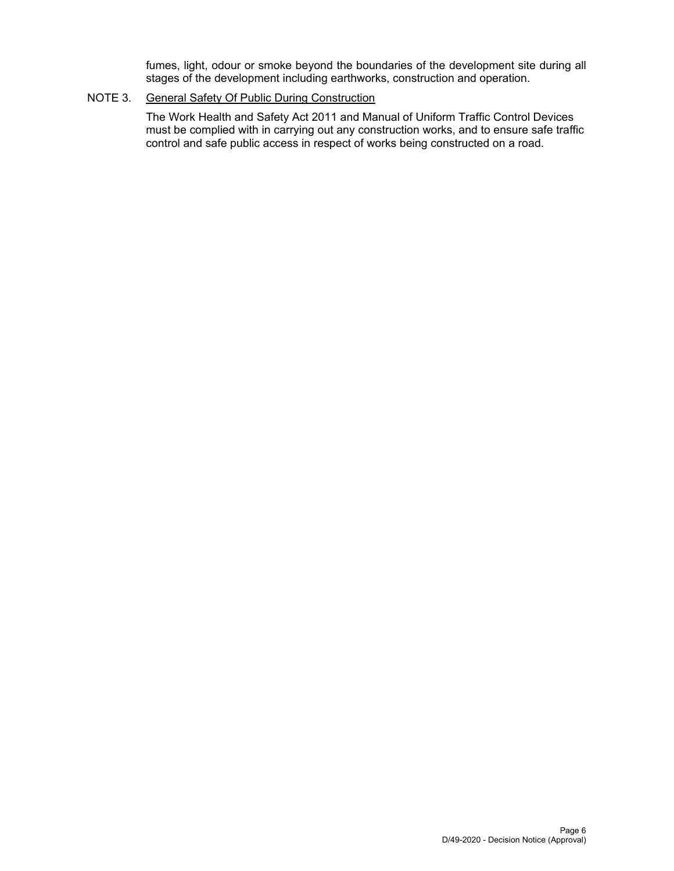fumes, light, odour or smoke beyond the boundaries of the development site during all stages of the development including earthworks, construction and operation.

## NOTE 3. General Safety Of Public During Construction

The Work Health and Safety Act 2011 and Manual of Uniform Traffic Control Devices must be complied with in carrying out any construction works, and to ensure safe traffic control and safe public access in respect of works being constructed on a road.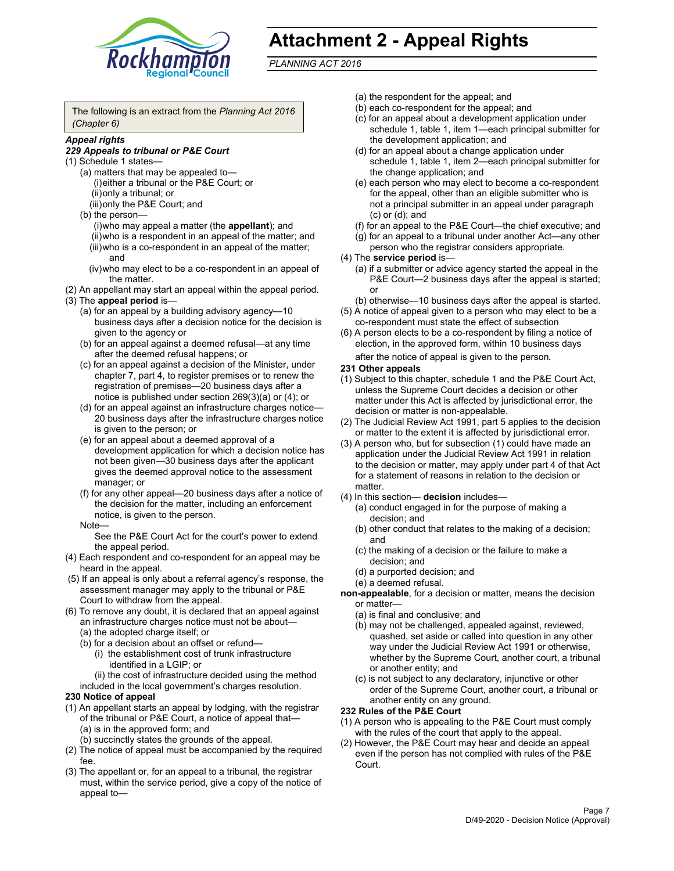

# **Attachment 2 - Appeal Rights**

*PLANNING ACT 2016*

The following is an extract from the *Planning Act 2016 (Chapter 6)*

## *Appeal rights*

#### *229 Appeals to tribunal or P&E Court*

- (1) Schedule 1 states—
	- (a) matters that may be appealed to— (i) either a tribunal or the P&E Court; or (ii) only a tribunal; or (iii) only the P&E Court; and
	- (b) the person—
		- (i) who may appeal a matter (the **appellant**); and
		- (ii) who is a respondent in an appeal of the matter; and (iii) who is a co-respondent in an appeal of the matter; and
		- (iv) who may elect to be a co-respondent in an appeal of the matter.
- (2) An appellant may start an appeal within the appeal period.
- (3) The **appeal period** is—
	- (a) for an appeal by a building advisory agency—10 business days after a decision notice for the decision is given to the agency or
	- (b) for an appeal against a deemed refusal—at any time after the deemed refusal happens; or
	- (c) for an appeal against a decision of the Minister, under chapter 7, part 4, to register premises or to renew the registration of premises—20 business days after a notice is published under section 269(3)(a) or (4); or
	- (d) for an appeal against an infrastructure charges notice— 20 business days after the infrastructure charges notice is given to the person; or
	- (e) for an appeal about a deemed approval of a development application for which a decision notice has not been given—30 business days after the applicant gives the deemed approval notice to the assessment manager; or
	- (f) for any other appeal—20 business days after a notice of the decision for the matter, including an enforcement notice, is given to the person.

#### Note—

See the P&E Court Act for the court's power to extend the appeal period.

- (4) Each respondent and co-respondent for an appeal may be heard in the appeal.
- (5) If an appeal is only about a referral agency's response, the assessment manager may apply to the tribunal or P&E Court to withdraw from the appeal.
- (6) To remove any doubt, it is declared that an appeal against an infrastructure charges notice must not be about— (a) the adopted charge itself; or
	- (b) for a decision about an offset or refund—
		- (i) the establishment cost of trunk infrastructure identified in a LGIP; or
		- (ii) the cost of infrastructure decided using the method
	- included in the local government's charges resolution.
- **230 Notice of appeal**
- (1) An appellant starts an appeal by lodging, with the registrar of the tribunal or P&E Court, a notice of appeal that— (a) is in the approved form; and
	- (b) succinctly states the grounds of the appeal.
- (2) The notice of appeal must be accompanied by the required fee.
- (3) The appellant or, for an appeal to a tribunal, the registrar must, within the service period, give a copy of the notice of appeal to—
- (a) the respondent for the appeal; and
- (b) each co-respondent for the appeal; and
- (c) for an appeal about a development application under schedule 1, table 1, item 1—each principal submitter for the development application; and
- (d) for an appeal about a change application under schedule 1, table 1, item 2—each principal submitter for the change application; and
- (e) each person who may elect to become a co-respondent for the appeal, other than an eligible submitter who is not a principal submitter in an appeal under paragraph (c) or (d); and
- (f) for an appeal to the P&E Court—the chief executive; and
- (g) for an appeal to a tribunal under another Act—any other person who the registrar considers appropriate.
- (4) The **service period** is—
	- (a) if a submitter or advice agency started the appeal in the P&E Court-2 business days after the appeal is started; or
	- (b) otherwise—10 business days after the appeal is started.
- (5) A notice of appeal given to a person who may elect to be a co-respondent must state the effect of subsection
- (6) A person elects to be a co-respondent by filing a notice of election, in the approved form, within 10 business days
	- after the notice of appeal is given to the person*.*
- **231 Other appeals**
- (1) Subject to this chapter, schedule 1 and the P&E Court Act, unless the Supreme Court decides a decision or other matter under this Act is affected by jurisdictional error, the decision or matter is non-appealable.
- (2) The Judicial Review Act 1991, part 5 applies to the decision or matter to the extent it is affected by jurisdictional error.
- (3) A person who, but for subsection (1) could have made an application under the Judicial Review Act 1991 in relation to the decision or matter, may apply under part 4 of that Act for a statement of reasons in relation to the decision or matter.
- (4) In this section— **decision** includes—
	- (a) conduct engaged in for the purpose of making a decision; and
	- (b) other conduct that relates to the making of a decision; and
	- (c) the making of a decision or the failure to make a decision; and
	- (d) a purported decision; and
	- (e) a deemed refusal.

**non-appealable**, for a decision or matter, means the decision or matter—

- (a) is final and conclusive; and
- (b) may not be challenged, appealed against, reviewed, quashed, set aside or called into question in any other way under the Judicial Review Act 1991 or otherwise, whether by the Supreme Court, another court, a tribunal or another entity; and
- (c) is not subject to any declaratory, injunctive or other order of the Supreme Court, another court, a tribunal or another entity on any ground.

#### **232 Rules of the P&E Court**

- (1) A person who is appealing to the P&E Court must comply with the rules of the court that apply to the appeal.
- (2) However, the P&E Court may hear and decide an appeal even if the person has not complied with rules of the P&E Court.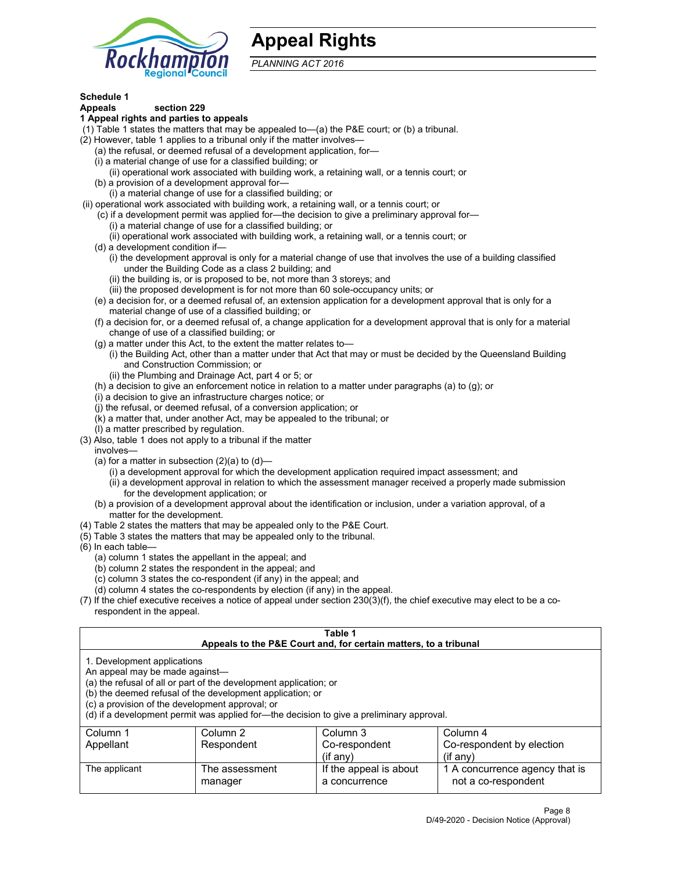

## **Appeal Rights**

*PLANNING ACT 2016*

## **Schedule 1**

## **Appeals section 229**

- **1 Appeal rights and parties to appeals**
- (1) Table 1 states the matters that may be appealed to—(a) the P&E court; or (b) a tribunal.
- (2) However, table 1 applies to a tribunal only if the matter involves—
	- (a) the refusal, or deemed refusal of a development application, for—
	- (i) a material change of use for a classified building; or
	- (ii) operational work associated with building work, a retaining wall, or a tennis court; or
	- (b) a provision of a development approval for—
	- (i) a material change of use for a classified building; or
- (ii) operational work associated with building work, a retaining wall, or a tennis court; or
	- (c) if a development permit was applied for—the decision to give a preliminary approval for— (i) a material change of use for a classified building; or
		- (ii) operational work associated with building work, a retaining wall, or a tennis court; or
	- (d) a development condition if—
		- (i) the development approval is only for a material change of use that involves the use of a building classified under the Building Code as a class 2 building; and
		- (ii) the building is, or is proposed to be, not more than 3 storeys; and
		- (iii) the proposed development is for not more than 60 sole-occupancy units; or
	- (e) a decision for, or a deemed refusal of, an extension application for a development approval that is only for a material change of use of a classified building; or
	- (f) a decision for, or a deemed refusal of, a change application for a development approval that is only for a material change of use of a classified building; or
	- (g) a matter under this Act, to the extent the matter relates to—
		- (i) the Building Act, other than a matter under that Act that may or must be decided by the Queensland Building and Construction Commission; or
		- (ii) the Plumbing and Drainage Act, part 4 or 5; or
	- (h) a decision to give an enforcement notice in relation to a matter under paragraphs (a) to (g); or
	- (i) a decision to give an infrastructure charges notice; or
	- (j) the refusal, or deemed refusal, of a conversion application; or
	- (k) a matter that, under another Act, may be appealed to the tribunal; or
	- (l) a matter prescribed by regulation.
- (3) Also, table 1 does not apply to a tribunal if the matter
	- involves—
		- (a) for a matter in subsection  $(2)(a)$  to  $(d)$ 
			- (i) a development approval for which the development application required impact assessment; and
			- (ii) a development approval in relation to which the assessment manager received a properly made submission for the development application; or
	- (b) a provision of a development approval about the identification or inclusion, under a variation approval, of a matter for the development.
- (4) Table 2 states the matters that may be appealed only to the P&E Court.
- (5) Table 3 states the matters that may be appealed only to the tribunal.
- (6) In each table—
	- (a) column 1 states the appellant in the appeal; and
	- (b) column 2 states the respondent in the appeal; and
	- (c) column 3 states the co-respondent (if any) in the appeal; and
	- (d) column 4 states the co-respondents by election (if any) in the appeal.
- (7) If the chief executive receives a notice of appeal under section 230(3)(f), the chief executive may elect to be a corespondent in the appeal.

| Table 1<br>Appeals to the P&E Court and, for certain matters, to a tribunal                                                                                                                                                                                                                                                                    |                           |                                         |                                                       |  |  |
|------------------------------------------------------------------------------------------------------------------------------------------------------------------------------------------------------------------------------------------------------------------------------------------------------------------------------------------------|---------------------------|-----------------------------------------|-------------------------------------------------------|--|--|
| 1. Development applications<br>An appeal may be made against-<br>(a) the refusal of all or part of the development application; or<br>(b) the deemed refusal of the development application; or<br>(c) a provision of the development approval; or<br>(d) if a development permit was applied for—the decision to give a preliminary approval. |                           |                                         |                                                       |  |  |
| Column 1                                                                                                                                                                                                                                                                                                                                       | Column 2                  | Column 3                                | Column 4                                              |  |  |
| Appellant                                                                                                                                                                                                                                                                                                                                      | Respondent                | Co-respondent                           | Co-respondent by election                             |  |  |
| $(if$ any)<br>$($ if any $)$                                                                                                                                                                                                                                                                                                                   |                           |                                         |                                                       |  |  |
| The applicant                                                                                                                                                                                                                                                                                                                                  | The assessment<br>manager | If the appeal is about<br>a concurrence | 1 A concurrence agency that is<br>not a co-respondent |  |  |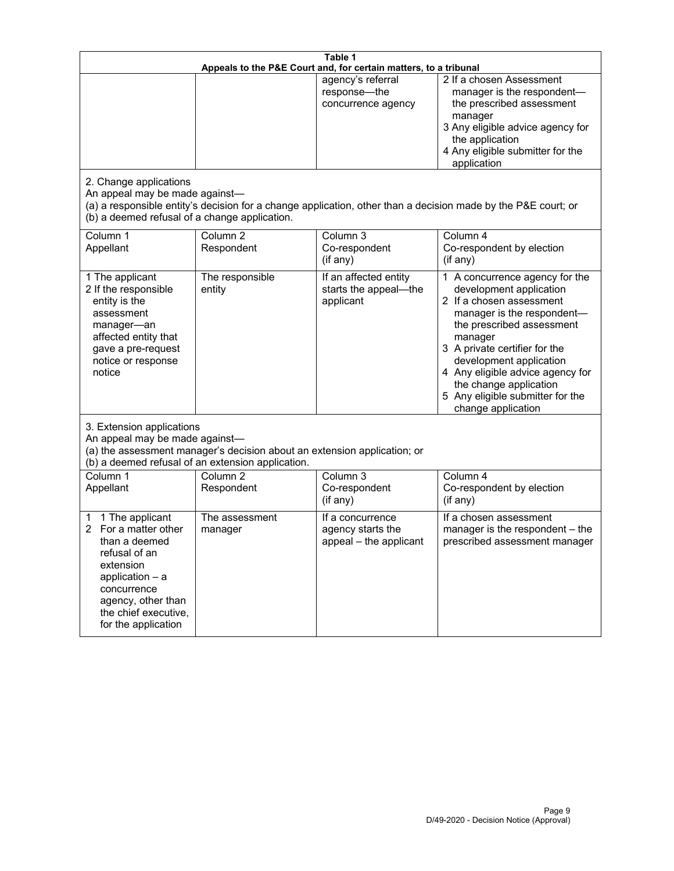| Table 1<br>Appeals to the P&E Court and, for certain matters, to a tribunal                                                                                                                        |                                                                                                                               |                                                                 |                                                                                                                                                                                                                                                                                                                                                 |  |
|----------------------------------------------------------------------------------------------------------------------------------------------------------------------------------------------------|-------------------------------------------------------------------------------------------------------------------------------|-----------------------------------------------------------------|-------------------------------------------------------------------------------------------------------------------------------------------------------------------------------------------------------------------------------------------------------------------------------------------------------------------------------------------------|--|
| 2. Change applications<br>An appeal may be made against-                                                                                                                                           |                                                                                                                               | agency's referral<br>response-the<br>concurrence agency         | 2 If a chosen Assessment<br>manager is the respondent-<br>the prescribed assessment<br>manager<br>3 Any eligible advice agency for<br>the application<br>4 Any eligible submitter for the<br>application<br>(a) a responsible entity's decision for a change application, other than a decision made by the P&E court; or                       |  |
| (b) a deemed refusal of a change application.<br>Column 1<br>Appellant                                                                                                                             | Column $\overline{2}$<br>Respondent                                                                                           | Column 3<br>Co-respondent<br>(if any)                           | Column 4<br>Co-respondent by election<br>(i f any)                                                                                                                                                                                                                                                                                              |  |
| 1 The applicant<br>2 If the responsible<br>entity is the<br>assessment<br>manager-an<br>affected entity that<br>gave a pre-request<br>notice or response<br>notice                                 | The responsible<br>entity                                                                                                     | If an affected entity<br>starts the appeal-the<br>applicant     | 1 A concurrence agency for the<br>development application<br>2 If a chosen assessment<br>manager is the respondent-<br>the prescribed assessment<br>manager<br>3 A private certifier for the<br>development application<br>4 Any eligible advice agency for<br>the change application<br>5 Any eligible submitter for the<br>change application |  |
| 3. Extension applications<br>An appeal may be made against-                                                                                                                                        | (a) the assessment manager's decision about an extension application; or<br>(b) a deemed refusal of an extension application. |                                                                 |                                                                                                                                                                                                                                                                                                                                                 |  |
| Column 1<br>Appellant                                                                                                                                                                              | Column <sub>2</sub><br>Respondent                                                                                             | Column 3<br>Co-respondent<br>(if any)                           | Column 4<br>Co-respondent by election<br>(if any)                                                                                                                                                                                                                                                                                               |  |
| 1 The applicant<br>1<br>For a matter other<br>than a deemed<br>refusal of an<br>extension<br>application $-$ a<br>concurrence<br>agency, other than<br>the chief executive,<br>for the application | The assessment<br>manager                                                                                                     | If a concurrence<br>agency starts the<br>appeal - the applicant | If a chosen assessment<br>manager is the respondent - the<br>prescribed assessment manager                                                                                                                                                                                                                                                      |  |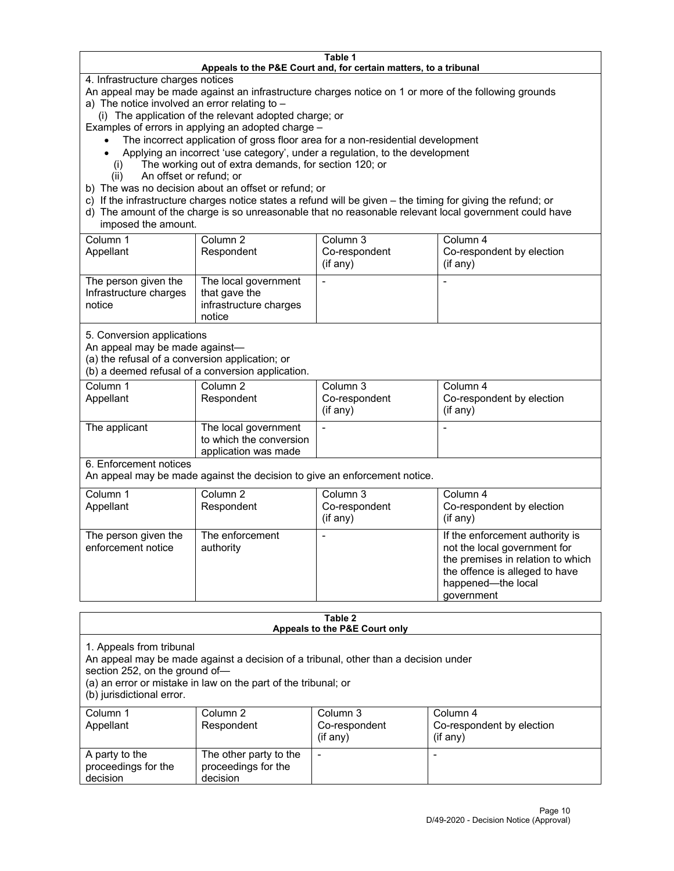#### **Table 1 Appeals to the P&E Court and, for certain matters, to a tribunal**

4. Infrastructure charges notices

An appeal may be made against an infrastructure charges notice on 1 or more of the following grounds

- a) The notice involved an error relating to
	- (i) The application of the relevant adopted charge; or

Examples of errors in applying an adopted charge –

- The incorrect application of gross floor area for a non-residential development
- Applying an incorrect 'use category', under a regulation, to the development
- (i) The working out of extra demands, for section 120; or
- (ii) An offset or refund; or
- b) The was no decision about an offset or refund; or
- c) If the infrastructure charges notice states a refund will be given the timing for giving the refund; or
- d) The amount of the charge is so unreasonable that no reasonable relevant local government could have imposed the amount.

| Column 1<br>Appellant                                    | Column 2<br>Respondent                                                    | Column 3<br>Co-respondent<br>(i f any) | Column 4<br>Co-respondent by election<br>(i f any) |
|----------------------------------------------------------|---------------------------------------------------------------------------|----------------------------------------|----------------------------------------------------|
| The person given the<br>Infrastructure charges<br>notice | The local government<br>that gave the<br>infrastructure charges<br>notice |                                        |                                                    |

5. Conversion applications

An appeal may be made against—

(a) the refusal of a conversion application; or

(b) a deemed refusal of a conversion application.

| Column 1      | Column 2                | Column 3       | Column 4                  |
|---------------|-------------------------|----------------|---------------------------|
| Appellant     | Respondent              | Co-respondent  | Co-respondent by election |
|               |                         | $($ if any $)$ | $($ if any $)$            |
|               |                         |                |                           |
| The applicant | The local government    |                |                           |
|               | to which the conversion |                |                           |
|               | application was made    |                |                           |

6. Enforcement notices

An appeal may be made against the decision to give an enforcement notice.

| Column 1<br>Appellant                      | Column 2<br>Respondent       | Column 3<br>Co-respondent<br>(if any) | Column 4<br>Co-respondent by election<br>(i f any)                                                                                                                         |
|--------------------------------------------|------------------------------|---------------------------------------|----------------------------------------------------------------------------------------------------------------------------------------------------------------------------|
| The person given the<br>enforcement notice | The enforcement<br>authority |                                       | If the enforcement authority is<br>not the local government for<br>the premises in relation to which<br>the offence is alleged to have<br>happened-the local<br>government |

#### **Table 2 Appeals to the P&E Court only**

1. Appeals from tribunal

An appeal may be made against a decision of a tribunal, other than a decision under

section 252, on the ground of—

(a) an error or mistake in law on the part of the tribunal; or

(b) jurisdictional error.

| Column 1<br>Appellant                             | Column 2<br>Respondent                                    | Column 3<br>Co-respondent<br>$(if$ any) | Column 4<br>Co-respondent by election<br>$(if$ any) |
|---------------------------------------------------|-----------------------------------------------------------|-----------------------------------------|-----------------------------------------------------|
| A party to the<br>proceedings for the<br>decision | The other party to the<br>proceedings for the<br>decision | $\overline{\phantom{a}}$                |                                                     |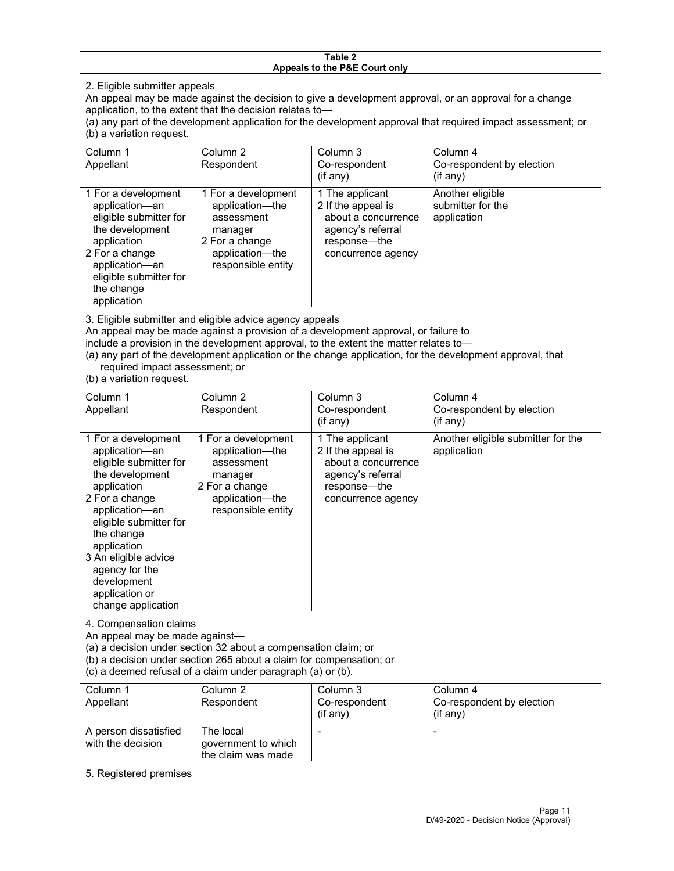#### **Table 2 Appeals to the P&E Court only**

2. Eligible submitter appeals

An appeal may be made against the decision to give a development approval, or an approval for a change application, to the extent that the decision relates to—

(a) any part of the development application for the development approval that required impact assessment; or (b) a variation request.

| Column 1<br>Appellant                                                                                                                                                                        | Column 2<br>Respondent                                                                                                     | Column 3<br>Co-respondent<br>(i f any)                                                                                  | Column 4<br>Co-respondent by election<br>$($ if any $)$ |
|----------------------------------------------------------------------------------------------------------------------------------------------------------------------------------------------|----------------------------------------------------------------------------------------------------------------------------|-------------------------------------------------------------------------------------------------------------------------|---------------------------------------------------------|
| 1 For a development<br>application-an<br>eligible submitter for<br>the development<br>application<br>2 For a change<br>application-an<br>eligible submitter for<br>the change<br>application | 1 For a development<br>application-the<br>assessment<br>manager<br>2 For a change<br>application-the<br>responsible entity | 1 The applicant<br>2 If the appeal is<br>about a concurrence<br>agency's referral<br>response—the<br>concurrence agency | Another eligible<br>submitter for the<br>application    |

3. Eligible submitter and eligible advice agency appeals

An appeal may be made against a provision of a development approval, or failure to

include a provision in the development approval, to the extent the matter relates to—

(a) any part of the development application or the change application, for the development approval, that required impact assessment; or

(b) a variation request.

| Column 1<br>Appellant                                                                                                                                                                                                                                                                         | Column <sub>2</sub><br>Respondent                                                                                          | Column 3<br>Co-respondent<br>(if any)                                                                                   | Column 4<br>Co-respondent by election<br>(if any) |
|-----------------------------------------------------------------------------------------------------------------------------------------------------------------------------------------------------------------------------------------------------------------------------------------------|----------------------------------------------------------------------------------------------------------------------------|-------------------------------------------------------------------------------------------------------------------------|---------------------------------------------------|
| 1 For a development<br>application-an<br>eligible submitter for<br>the development<br>application<br>2 For a change<br>application-an<br>eligible submitter for<br>the change<br>application<br>3 An eligible advice<br>agency for the<br>development<br>application or<br>change application | 1 For a development<br>application-the<br>assessment<br>manager<br>2 For a change<br>application-the<br>responsible entity | 1 The applicant<br>2 If the appeal is<br>about a concurrence<br>agency's referral<br>response-the<br>concurrence agency | Another eligible submitter for the<br>application |
| 4. Compensation claims<br>An appeal may be made against-<br>(a) a decision under section 32 about a compensation claim; or<br>(b) a decision under section 265 about a claim for compensation; or<br>(c) a deemed refusal of a claim under paragraph (a) or (b).                              |                                                                                                                            |                                                                                                                         |                                                   |
| Column <sub>1</sub><br>Appellant                                                                                                                                                                                                                                                              | Column <sub>2</sub><br>Respondent                                                                                          | Column 3<br>Co-respondent<br>(if any)                                                                                   | Column 4<br>Co-respondent by election<br>(if any) |
| A person dissatisfied<br>with the decision                                                                                                                                                                                                                                                    | The local<br>government to which<br>the claim was made                                                                     |                                                                                                                         |                                                   |
| 5. Registered premises                                                                                                                                                                                                                                                                        |                                                                                                                            |                                                                                                                         |                                                   |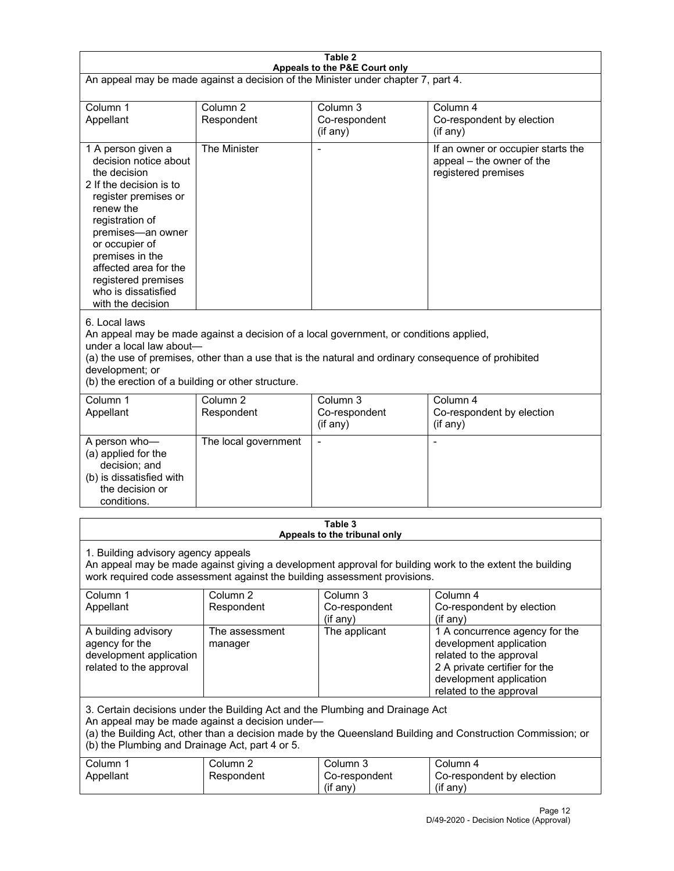| Table 2<br>Appeals to the P&E Court only                                                                                                                                                                                                                                                                             |                                   |                                                  |                                                                                                                                                                             |  |
|----------------------------------------------------------------------------------------------------------------------------------------------------------------------------------------------------------------------------------------------------------------------------------------------------------------------|-----------------------------------|--------------------------------------------------|-----------------------------------------------------------------------------------------------------------------------------------------------------------------------------|--|
| An appeal may be made against a decision of the Minister under chapter 7, part 4.                                                                                                                                                                                                                                    |                                   |                                                  |                                                                                                                                                                             |  |
| Column 1<br>Appellant                                                                                                                                                                                                                                                                                                | Column <sub>2</sub><br>Respondent | Column <sub>3</sub><br>Co-respondent<br>(if any) | Column 4<br>Co-respondent by election<br>(if any)                                                                                                                           |  |
| 1 A person given a<br>decision notice about<br>the decision<br>2 If the decision is to<br>register premises or<br>renew the<br>registration of<br>premises-an owner<br>or occupier of<br>premises in the<br>affected area for the<br>registered premises<br>who is dissatisfied<br>with the decision                 | The Minister                      | Ĭ.                                               | If an owner or occupier starts the<br>appeal - the owner of the<br>registered premises                                                                                      |  |
| 6. Local laws<br>An appeal may be made against a decision of a local government, or conditions applied,<br>under a local law about-<br>(a) the use of premises, other than a use that is the natural and ordinary consequence of prohibited<br>development; or<br>(b) the erection of a building or other structure. |                                   |                                                  |                                                                                                                                                                             |  |
| Column 1<br>Appellant                                                                                                                                                                                                                                                                                                | Column <sub>2</sub><br>Respondent | Column 3<br>Co-respondent<br>(if any)            | Column 4<br>Co-respondent by election<br>(if any)                                                                                                                           |  |
| A person who-<br>(a) applied for the<br>decision; and<br>(b) is dissatisfied with<br>the decision or<br>conditions.                                                                                                                                                                                                  | The local government              | L,                                               | $\overline{a}$                                                                                                                                                              |  |
|                                                                                                                                                                                                                                                                                                                      |                                   | Table 3<br>Appeals to the tribunal only          |                                                                                                                                                                             |  |
| 1. Building advisory agency appeals<br>An appeal may be made against giving a development approval for building work to the extent the building<br>work required code assessment against the building assessment provisions.                                                                                         |                                   |                                                  |                                                                                                                                                                             |  |
| Column 1<br>Appellant                                                                                                                                                                                                                                                                                                | Column <sub>2</sub><br>Respondent | Column 3<br>Co-respondent<br>(if any)            | Column 4<br>Co-respondent by election<br>(if any)                                                                                                                           |  |
| A building advisory<br>agency for the<br>development application<br>related to the approval                                                                                                                                                                                                                          | The assessment<br>manager         | The applicant                                    | 1 A concurrence agency for the<br>development application<br>related to the approval<br>2 A private certifier for the<br>development application<br>related to the approval |  |
| 3. Certain decisions under the Building Act and the Plumbing and Drainage Act<br>An appeal may be made against a decision under-<br>(a) the Building Act, other than a decision made by the Queensland Building and Construction Commission; or<br>(b) the Plumbing and Drainage Act, part 4 or 5.                   |                                   |                                                  |                                                                                                                                                                             |  |
| Column 1<br>Appellant                                                                                                                                                                                                                                                                                                | Column <sub>2</sub><br>Respondent | Column 3<br>Co-respondent<br>(if any)            | Column 4<br>Co-respondent by election<br>(if any)                                                                                                                           |  |